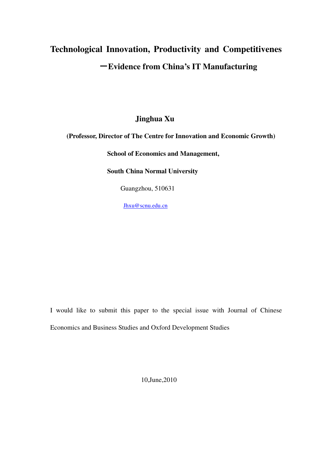# **Technological Innovation, Productivity and Competitivenes** -**Evidence from China's IT Manufacturing**

 **Jinghua Xu** 

**(Professor, Director of The Centre for Innovation and Economic Growth)** 

**School of Economics and Management,** 

**South China Normal University** 

Guangzhou, 510631

Jhxu@scnu.edu.cn

I would like to submit this paper to the special issue with Journal of Chinese Economics and Business Studies and Oxford Development Studies

10,June,2010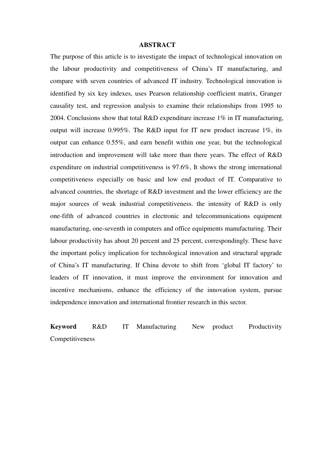#### **ABSTRACT**

The purpose of this article is to investigate the impact of technological innovation on the labour productivity and competitiveness of China's IT manufacturing, and compare with seven countries of advanced IT industry. Technological innovation is identified by six key indexes, uses Pearson relationship coefficient matrix, Granger causality test, and regression analysis to examine their relationships from 1995 to 2004. Conclusions show that total R&D expenditure increase 1% in IT manufacturing, output will increase 0.995%. The R&D input for IT new product increase 1%, its output can enhance 0.55%, and earn benefit within one year, but the technological introduction and improvement will take more than there years. The effect of R&D expenditure on industrial competitiveness is 97.6%, It shows the strong international competitiveness especially on basic and low end product of IT. Comparative to advanced countries, the shortage of R&D investment and the lower efficiency are the major sources of weak industrial competitiveness. the intensity of R&D is only one-fifth of advanced countries in electronic and telecommunications equipment manufacturing, one-seventh in computers and office equipments manufacturing. Their labour productivity has about 20 percent and 25 percent, correspondingly. These have the important policy implication for technological innovation and structural upgrade of China's IT manufacturing. If China devote to shift from 'global IT factory' to leaders of IT innovation, it must improve the environment for innovation and incentive mechanisms, enhance the efficiency of the innovation system, pursue independence innovation and international frontier research in this sector.

**Keyword** R&D IT Manufacturing New product Productivity Competitiveness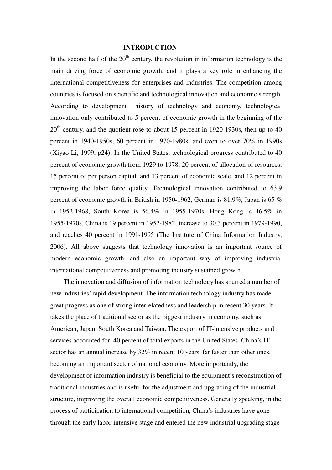#### **INTRODUCTION**

In the second half of the  $20<sup>th</sup>$  century, the revolution in information technology is the main driving force of economic growth, and it plays a key role in enhancing the international competitiveness for enterprises and industries. The competition among countries is focused on scientific and technological innovation and economic strength. According to development history of technology and economy, technological innovation only contributed to 5 percent of economic growth in the beginning of the  $20<sup>th</sup>$  century, and the quotient rose to about 15 percent in 1920-1930s, then up to 40 percent in 1940-1950s, 60 percent in 1970-1980s, and even to over 70% in 1990s (Xiyao Li, 1999, p24). In the United States, technological progress contributed to 40 percent of economic growth from 1929 to 1978, 20 percent of allocation of resources, 15 percent of per person capital, and 13 percent of economic scale, and 12 percent in improving the labor force quality. Technological innovation contributed to 63.9 percent of economic growth in British in 1950-1962, German is 81.9%, Japan is 65 % in 1952-1968, South Korea is 56.4% in 1955-1970s, Hong Kong is 46.5% in 1955-1970s. China is 19 percent in 1952-1982, increase to 30.3 percent in 1979-1990, and reaches 40 percent in 1991-1995 (The Institute of China Information Industry, 2006). All above suggests that technology innovation is an important source of modern economic growth, and also an important way of improving industrial international competitiveness and promoting industry sustained growth.

The innovation and diffusion of information technology has spurred a number of new industries' rapid development. The information technology industry has made great progress as one of strong interrelatedness and leadership in recent 30 years. It takes the place of traditional sector as the biggest industry in economy, such as American, Japan, South Korea and Taiwan. The export of IT-intensive products and services accounted for 40 percent of total exports in the United States. China's IT sector has an annual increase by 32% in recent 10 years, far faster than other ones, becoming an important sector of national economy. More importantly, the development of information industry is beneficial to the equipment's reconstruction of traditional industries and is useful for the adjustment and upgrading of the industrial structure, improving the overall economic competitiveness. Generally speaking, in the process of participation to international competition, China's industries have gone through the early labor-intensive stage and entered the new industrial upgrading stage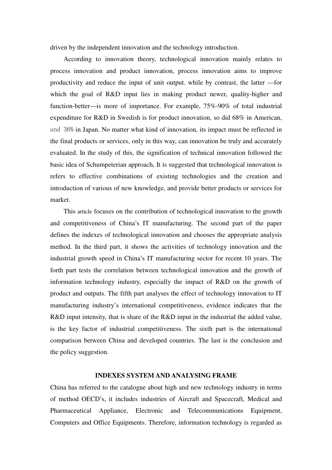driven by the independent innovation and the technology introduction.

 According to innovation theory, technological innovation mainly relates to process innovation and product innovation, process innovation aims to improve productivity and reduce the input of unit output. while by contrast, the latter —for which the goal of R&D input lies in making product newer, quality-higher and function-better—is more of importance. For example, 75%-90% of total industrial expenditure for R&D in Swedish is for product innovation, so did 68% in American, and 36% in Japan. No matter what kind of innovation, its impact must be reflected in the final products or services, only in this way, can innovation be truly and accurately evaluated. In the study of this, the signification of technical innovation followed the basic idea of Schumpeterian approach, It is suggested that technological innovation is refers to effective combinations of existing technologies and the creation and introduction of various of new knowledge, and provide better products or services for market.

This article focuses on the contribution of technological innovation to the growth and competitiveness of China's IT manufacturing. The second part of the paper defines the indexes of technological innovation and chooses the appropriate analysis method. In the third part, it shows the activities of technology innovation and the industrial growth speed in China's IT manufacturing sector for recent 10 years. The forth part tests the correlation between technological innovation and the growth of information technology industry, especially the impact of R&D on the growth of product and outputs. The fifth part analyses the effect of technology innovation to IT manufacturing industry's international competitiveness, evidence indicates that the R&D input intensity, that is share of the R&D input in the industrial the added value, is the key factor of industrial competitiveness. The sixth part is the international comparison between China and developed countries. The last is the conclusion and the policy suggestion.

#### **INDEXES SYSTEM AND ANALYSING FRAME**

China has referred to the catalogue about high and new technology industry in terms of method OECD's, it includes industries of Aircraft and Spacecraft, Medical and Pharmaceutical Appliance, Electronic and Telecommunications Equipment, Computers and Office Equipments. Therefore, information technology is regarded as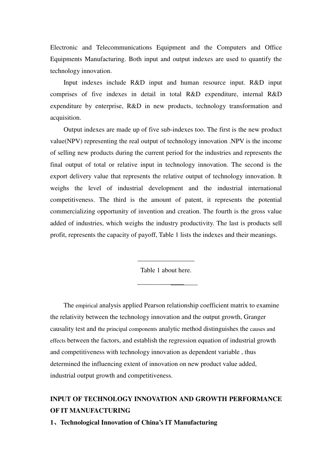Electronic and Telecommunications Equipment and the Computers and Office Equipments Manufacturing. Both input and output indexes are used to quantify the technology innovation.

Input indexes include R&D input and human resource input. R&D input comprises of five indexes in detail in total R&D expenditure, internal R&D expenditure by enterprise, R&D in new products, technology transformation and acquisition.

Output indexes are made up of five sub-indexes too. The first is the new product value(NPV) representing the real output of technology innovation .NPV is the income of selling new products during the current period for the industries and represents the final output of total or relative input in technology innovation. The second is the export delivery value that represents the relative output of technology innovation. It weighs the level of industrial development and the industrial international competitiveness. The third is the amount of patent, it represents the potential commercializing opportunity of invention and creation. The fourth is the gross value added of industries, which weighs the industry productivity. The last is products sell profit, represents the capacity of payoff, Table 1 lists the indexes and their meanings.

Table 1 about here.

\_\_\_\_\_\_\_\_\_\_\_\_\_\_

\_\_\_\_\_\_\_\_\_\_\_\_\_\_\_\_\_

The empirical analysis applied Pearson relationship coefficient matrix to examine the relativity between the technology innovation and the output growth, Granger causality test and the principal components analytic method distinguishes the causes and effects between the factors, and establish the regression equation of industrial growth and competitiveness with technology innovation as dependent variable , thus determined the influencing extent of innovation on new product value added, industrial output growth and competitiveness.

## **INPUT OF TECHNOLOGY INNOVATION AND GROWTH PERFORMANCE OF IT MANUFACTURING**

**1**、**Technological Innovation of China's IT Manufacturing**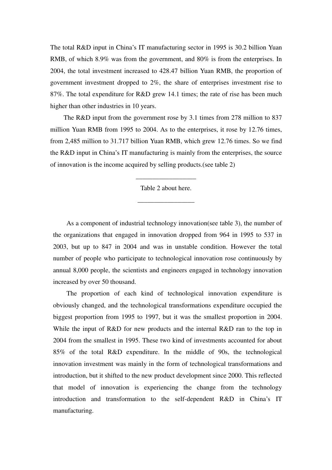The total R&D input in China's IT manufacturing sector in 1995 is 30.2 billion Yuan RMB, of which 8.9% was from the government, and 80% is from the enterprises. In 2004, the total investment increased to 428.47 billion Yuan RMB, the proportion of government investment dropped to 2%, the share of enterprises investment rise to 87%. The total expenditure for R&D grew 14.1 times; the rate of rise has been much higher than other industries in 10 years.

The R&D input from the government rose by 3.1 times from 278 million to 837 million Yuan RMB from 1995 to 2004. As to the enterprises, it rose by 12.76 times, from 2,485 million to 31.717 billion Yuan RMB, which grew 12.76 times. So we find the R&D input in China's IT manufacturing is mainly from the enterprises, the source of innovation is the income acquired by selling products.(see table 2)

Table 2 about here.

\_\_\_\_\_\_\_\_\_\_\_\_\_\_\_\_\_

\_\_\_\_\_\_\_\_\_\_\_\_\_\_\_\_\_\_

As a component of industrial technology innovation(see table 3), the number of the organizations that engaged in innovation dropped from 964 in 1995 to 537 in 2003, but up to 847 in 2004 and was in unstable condition. However the total number of people who participate to technological innovation rose continuously by annual 8,000 people, the scientists and engineers engaged in technology innovation increased by over 50 thousand.

The proportion of each kind of technological innovation expenditure is obviously changed, and the technological transformations expenditure occupied the biggest proportion from 1995 to 1997, but it was the smallest proportion in 2004. While the input of R&D for new products and the internal R&D ran to the top in 2004 from the smallest in 1995. These two kind of investments accounted for about 85% of the total R&D expenditure. In the middle of 90s, the technological innovation investment was mainly in the form of technological transformations and introduction, but it shifted to the new product development since 2000. This reflected that model of innovation is experiencing the change from the technology introduction and transformation to the self-dependent R&D in China's IT manufacturing.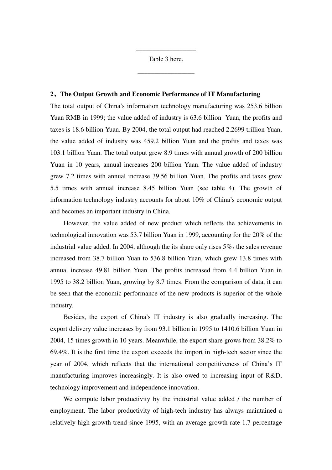Table 3 here.

\_\_\_\_\_\_\_\_\_\_\_\_\_\_\_\_\_

\_\_\_\_\_\_\_\_\_\_\_\_\_\_\_\_\_\_

#### **2**、**The Output Growth and Economic Performance of IT Manufacturing**

The total output of China's information technology manufacturing was 253.6 billion Yuan RMB in 1999; the value added of industry is 63.6 billion Yuan, the profits and taxes is 18.6 billion Yuan. By 2004, the total output had reached 2.2699 trillion Yuan, the value added of industry was 459.2 billion Yuan and the profits and taxes was 103.1 billion Yuan. The total output grew 8.9 times with annual growth of 200 billion Yuan in 10 years, annual increases 200 billion Yuan. The value added of industry grew 7.2 times with annual increase 39.56 billion Yuan. The profits and taxes grew 5.5 times with annual increase 8.45 billion Yuan (see table 4). The growth of information technology industry accounts for about 10% of China's economic output and becomes an important industry in China.

However, the value added of new product which reflects the achievements in technological innovation was 53.7 billion Yuan in 1999, accounting for the 20% of the industrial value added. In 2004, although the its share only rises  $5\%$ , the sales revenue increased from 38.7 billion Yuan to 536.8 billion Yuan, which grew 13.8 times with annual increase 49.81 billion Yuan. The profits increased from 4.4 billion Yuan in 1995 to 38.2 billion Yuan, growing by 8.7 times. From the comparison of data, it can be seen that the economic performance of the new products is superior of the whole industry.

Besides, the export of China's IT industry is also gradually increasing. The export delivery value increases by from 93.1 billion in 1995 to 1410.6 billion Yuan in 2004, 15 times growth in 10 years. Meanwhile, the export share grows from 38.2% to 69.4%. It is the first time the export exceeds the import in high-tech sector since the year of 2004, which reflects that the international competitiveness of China's IT manufacturing improves increasingly. It is also owed to increasing input of R&D, technology improvement and independence innovation.

We compute labor productivity by the industrial value added / the number of employment. The labor productivity of high-tech industry has always maintained a relatively high growth trend since 1995, with an average growth rate 1.7 percentage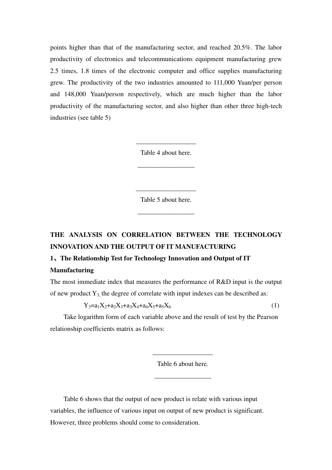points higher than that of the manufacturing sector, and reached 20.5%. The labor productivity of electronics and telecommunications equipment manufacturing grew 2.5 times, 1.8 times of the electronic computer and office supplies manufacturing grew. The productivity of the two industries amounted to 111,000 Yuan/per person and 148,000 Yuan/person respectively, which are much higher than the labor productivity of the manufacturing sector, and also higher than other three high-tech industries (see table 5)

Table 4 about here.

\_\_\_\_\_\_\_\_\_\_\_\_\_\_\_\_\_

\_\_\_\_\_\_\_\_\_\_\_\_\_\_\_\_\_\_

Table 5 about here.

\_\_\_\_\_\_\_\_\_\_\_\_\_\_\_\_\_

\_\_\_\_\_\_\_\_\_\_\_\_\_\_\_\_\_\_

# **THE ANALYSIS ON CORRELATION BETWEEN THE TECHNOLOGY INNOVATION AND THE OUTPUT OF IT MANUFACTURING**

### **1**、**The Relationship Test for Technology Innovation and Output of IT Manufacturing**

The most immediate index that measures the performance of R&D input is the output of new product  $Y_3$ , the degree of correlate with input indexes can be described as:

$$
Y_3 = a_1 X_2 + a_2 X_3 + a_3 X_4 + a_4 X_5 + a_5 X_6 \tag{1}
$$

Take logarithm form of each variable above and the result of test by the Pearson relationship coefficients matrix as follows:

Table 6 about here.

 $\overline{\phantom{a}}$  , we can assume that  $\overline{\phantom{a}}$ 

\_\_\_\_\_\_\_\_\_\_\_\_\_\_\_\_\_\_

Table 6 shows that the output of new product is relate with various input variables, the influence of various input on output of new product is significant. However, three problems should come to consideration.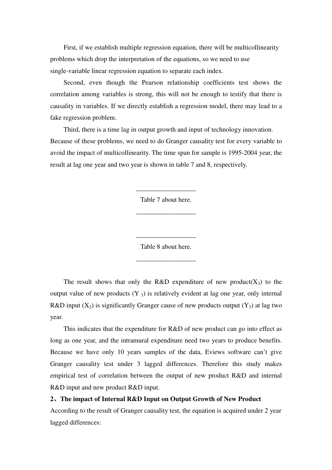First, if we establish multiple regression equation, there will be multicollinearity problems which drop the interpretation of the equations, so we need to use single-variable linear regression equation to separate each index.

Second, even though the Pearson relationship coefficients test shows the correlation among variables is strong, this will not be enough to testify that there is causality in variables. If we directly establish a regression model, there may lead to a fake regression problem.

Third, there is a time lag in output growth and input of technology innovation. Because of these problems, we need to do Granger causality test for every variable to avoid the impact of multicollinearity. The time span for sample is 1995-2004 year, the result at lag one year and two year is shown in table 7 and 8, respectively.

Table 7 about here.

\_\_\_\_\_\_\_\_\_\_\_\_\_\_\_\_\_\_

\_\_\_\_\_\_\_\_\_\_\_\_\_\_\_\_\_\_

Table 8 about here.

\_\_\_\_\_\_\_\_\_\_\_\_\_\_\_\_\_\_

\_\_\_\_\_\_\_\_\_\_\_\_\_\_\_\_\_\_

The result shows that only the R&D expenditure of new product( $X_3$ ) to the output value of new products  $(Y_3)$  is relatively evident at lag one year, only internal R&D input  $(X_2)$  is significantly Granger cause of new products output  $(Y_3)$  at lag two year.

This indicates that the expenditure for R&D of new product can go into effect as long as one year, and the intramural expenditure need two years to produce benefits. Because we have only 10 years samples of the data, Eviews software can't give Granger causality test under 3 lagged differences. Therefore this study makes empirical test of correlation between the output of new product R&D and internal R&D input and new product R&D input.

#### **2**、**The impact of Internal R&D Input on Output Growth of New Product**

According to the result of Granger causality test, the equation is acquired under 2 year lagged differences: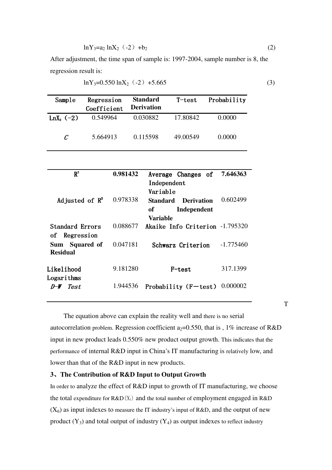$$
\ln Y_3 = a_2 \ln X_2 \quad (-2) \quad +b_2 \tag{2}
$$

After adjustment, the time span of sample is: 1997-2004, sample number is 8, the regression result is:

$$
\ln Y_3 = 0.550 \ln X_2 \ (-2) + 5.665 \tag{3}
$$

| Sample       | Regression<br>Coefficient | <b>Standard</b><br><b>Derivation</b> | $T$ –test | Probability |
|--------------|---------------------------|--------------------------------------|-----------|-------------|
| $LnX_2$ (-2) | 0.549964                  | 0.030882                             | 17.80842  | 0.0000      |
| C            | 5.664913                  | 0.115598                             | 49.00549  | 0.0000      |

| $R^2$                             | 0.981432 | Average Changes of<br>Independent<br>Variable                  | 7.646363    |
|-----------------------------------|----------|----------------------------------------------------------------|-------------|
| Adjusted of $\mathbb{R}^2$        | 0.978338 | <b>Derivation</b><br>Standard<br>Independent<br>of<br>Variable | 0.602499    |
| Standard Errors<br>of Regression  | 0.088677 | Akaike Info Criterion -1.795320                                |             |
| Sum Squared of<br><b>Residual</b> | 0.047181 | Schwarz Criterion                                              | $-1.775460$ |
| Likelihood<br>Logarithms          | 9.181280 | F-test                                                         | 317.1399    |
| Test<br>$D-W$                     | 1.944536 | Probability $(F-test)$                                         | 0.000002    |

 The equation above can explain the reality well and there is no serial autocorrelation problem. Regression coefficient  $a_2=0.550$ , that is , 1% increase of R&D input in new product leads 0.550% new product output growth. This indicates that the performance of internal R&D input in China's IT manufacturing is relatively low, and lower than that of the R&D input in new products.

#### **3**、**The Contribution of R&D Input to Output Growth**

In order to analyze the effect of R&D input to growth of IT manufacturing, we choose the total expenditure for  $R&D(X_1)$  and the total number of employment engaged in  $R&D$  $(X<sub>6</sub>)$  as input indexes to measure the IT industry's input of R&D, and the output of new product  $(Y_3)$  and total output of industry  $(Y_4)$  as output indexes to reflect industry

T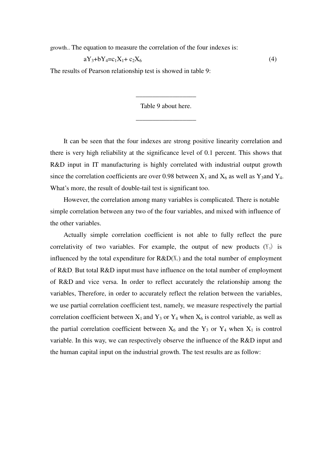growth.. The equation to measure the correlation of the four indexes is:

$$
aY_3 + bY_4 = c_1X_1 + c_2X_6 \tag{4}
$$

The results of Pearson relationship test is showed in table 9:

Table 9 about here.

\_\_\_\_\_\_\_\_\_\_\_\_\_\_\_\_\_\_

\_\_\_\_\_\_\_\_\_\_\_\_\_\_\_\_\_\_

It can be seen that the four indexes are strong positive linearity correlation and there is very high reliability at the significance level of 0.1 percent. This shows that R&D input in IT manufacturing is highly correlated with industrial output growth since the correlation coefficients are over 0.98 between  $X_1$  and  $X_6$  as well as Y<sub>3</sub>and Y<sub>4</sub>. What's more, the result of double-tail test is significant too.

 However, the correlation among many variables is complicated. There is notable simple correlation between any two of the four variables, and mixed with influence of the other variables.

Actually simple correlation coefficient is not able to fully reflect the pure correlativity of two variables. For example, the output of new products  $(Y_3)$  is influenced by the total expenditure for  $R&D(X_1)$  and the total number of employment of R&D. But total R&D input must have influence on the total number of employment of R&D and vice versa. In order to reflect accurately the relationship among the variables, Therefore, in order to accurately reflect the relation between the variables, we use partial correlation coefficient test, namely, we measure respectively the partial correlation coefficient between  $X_1$  and  $Y_3$  or  $Y_4$  when  $X_6$  is control variable, as well as the partial correlation coefficient between  $X_6$  and the  $Y_3$  or  $Y_4$  when  $X_1$  is control variable. In this way, we can respectively observe the influence of the R&D input and the human capital input on the industrial growth. The test results are as follow: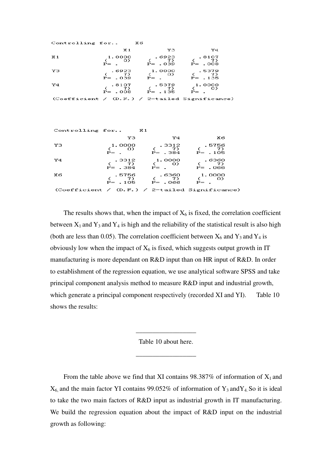| Controlling for X6 |                 |                                                                                                                              |                                                |
|--------------------|-----------------|------------------------------------------------------------------------------------------------------------------------------|------------------------------------------------|
|                    | X 1             | үз                                                                                                                           | Y4                                             |
| X 1                | $P =$ .         | 8107 (1.0000).<br>(7) (7) (0) (0)<br>P= .039                                                                                 | $P = 008$                                      |
| YЗ                 |                 | 6923 1.0000 .5379<br>( 7) ( 7) ( 7)<br>P= 039 P= .                                                                           |                                                |
| Y4                 |                 | $\begin{array}{cccc} . & 8107 & . & 5379 & 1.0000 \\ ( & 7) & ( & 7) & ( & 6) \\ P= . & 008 & P= . & 135 & P= . \end{array}$ |                                                |
|                    |                 |                                                                                                                              | (Coefficient / (D.F.) / 2-tailed Significance) |
| Controlling for    | <b>X1</b><br>YЗ | Y4                                                                                                                           | xб                                             |

| YЗ | 1.0000<br>O)<br>$P =$ . | .3312<br>- 7)<br>$P = 0.384$ | .5756<br>$P = 105$                               |
|----|-------------------------|------------------------------|--------------------------------------------------|
| Y4 | .3312                   | 1.0000                       | - 6360                                           |
|    | $\left( 7\right)$       | O)                           | -73                                              |
|    | $P = 384$               | $P = -$                      | P= .066                                          |
| X6 | .5756                   | .6360                        | 1.0000                                           |
|    | $\bar{7}$ )             | (7)                          | O)                                               |
|    | $P = 105$               | P= .066                      | $P =$ .                                          |
|    |                         |                              | $(Coefficient / (D.F.) / 2-tailed Significance)$ |

The results shows that, when the impact of  $X_6$  is fixed, the correlation coefficient between  $X_1$  and  $Y_3$  and  $Y_4$  is high and the reliability of the statistical result is also high (both are less than 0.05). The correlation coefficient between  $X_6$  and  $Y_3$  and  $Y_4$  is obviously low when the impact of  $X_6$  is fixed, which suggests output growth in IT manufacturing is more dependant on R&D input than on HR input of R&D. In order to establishment of the regression equation, we use analytical software SPSS and take principal component analysis method to measure R&D input and industrial growth, which generate a principal component respectively (recorded XI and YI). Table 10 shows the results:

Table 10 about here.

\_\_\_\_\_\_\_\_\_\_\_\_\_\_\_\_\_\_

\_\_\_\_\_\_\_\_\_\_\_\_\_\_\_\_\_\_

From the table above we find that XI contains  $98.387\%$  of information of  $X_1$  and  $X_6$  and the main factor YI contains 99.052% of information of Y<sub>3</sub> and Y<sub>4</sub>. So it is ideal to take the two main factors of R&D input as industrial growth in IT manufacturing. We build the regression equation about the impact of R&D input on the industrial growth as following: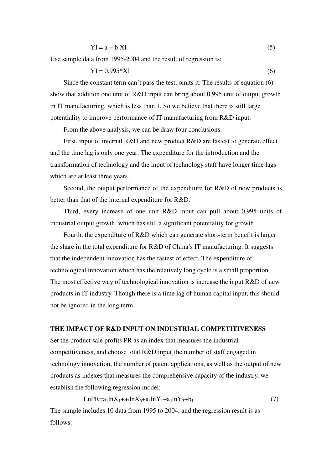$$
YI = a + b XI
$$
 (5)

Use sample data from 1995-2004 and the result of regression is:

$$
YI = 0.995*XI
$$
 (6)

Since the constant term can't pass the test, omits it. The results of equation (6) show that addition one unit of R&D input can bring about 0.995 unit of output growth in IT manufacturing, which is less than 1. So we believe that there is still large potentiality to improve performance of IT manufacturing from R&D input.

From the above analysis, we can be draw four conclusions.

First, input of internal R&D and new product R&D are fastest to generate effect and the time lag is only one year. The expenditure for the introduction and the transformation of technology and the input of technology staff have longer time lags which are at least three years.

Second, the output performance of the expenditure for R&D of new products is better than that of the internal expenditure for R&D.

Third, every increase of one unit R&D input can pull about 0.995 units of industrial output growth, which has still a significant potentiality for growth.

Fourth, the expenditure of R&D which can generate short-term benefit is larger the share in the total expenditure for R&D of China's IT manufacturing. It suggests that the independent innovation has the fastest of effect. The expenditure of technological innovation which has the relatively long cycle is a small proportion. The most effective way of technological innovation is increase the input R&D of new products in IT industry. Though there is a time lag of human capital input, this should not be ignored in the long term.

#### **THE IMPACT OF R&D INPUT ON INDUSTRIAL COMPETITIVENESS**

Set the product sale profits PR as an index that measures the industrial competitiveness, and choose total R&D input, the number of staff engaged in technology innovation, the number of patent applications, as well as the output of new products as indexes that measures the comprehensive capacity of the industry, we establish the following regression model:

$$
LnPR = a_1 lnX_1 + a_2 lnX_6 + a_3 lnY_1 + a_4 lnY_3 + b_1
$$
\n(7)

The sample includes 10 data from 1995 to 2004, and the regression result is as follows: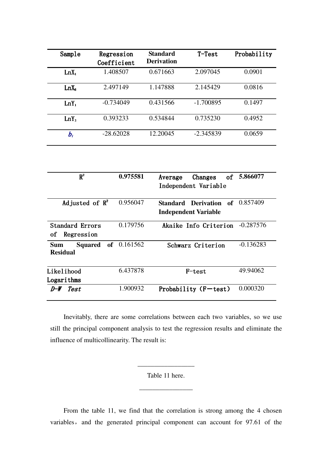| Sample           | Regression<br>Coefficient | <b>Standard</b><br><b>Derivation</b> | $T-Test$    | Probability |
|------------------|---------------------------|--------------------------------------|-------------|-------------|
| $LnX_1$          | 1.408507                  | 0.671663                             | 2.097045    | 0.0901      |
| LnX <sub>6</sub> | 2.497149                  | 1.147888                             | 2.145429    | 0.0816      |
| $LnY_1$          | $-0.734049$               | 0.431566                             | $-1.700895$ | 0.1497      |
| $LnY_3$          | 0.393233                  | 0.534844                             | 0.735230    | 0.4952      |
| $b_i$            | $-28.62028$               | 12.20045                             | $-2.345839$ | 0.0659      |

| $R^2$                                                       | 0.975581 | Changes<br>Average<br>Independent Variable            | of 5.866077 |
|-------------------------------------------------------------|----------|-------------------------------------------------------|-------------|
| Adjusted of $\mathbb{R}^2$                                  | 0.956047 | Standard Derivation of<br><b>Independent Variable</b> | 0.857409    |
| <b>Standard Errors</b><br>Regression<br>οf                  | 0.179756 | Akaike Info Criterion                                 | $-0.287576$ |
| <b>Squared</b> of 0.161562<br><b>Sum</b><br><b>Residual</b> |          | Schwarz Criterion                                     | $-0.136283$ |
| Likelihood<br>Logarithms                                    | 6.437878 | F-test                                                | 49.94062    |
| Test<br>$D-W$                                               | 1.900932 | Probability $(F-test)$                                | 0.000320    |

Inevitably, there are some correlations between each two variables, so we use still the principal component analysis to test the regression results and eliminate the influence of multicollinearity. The result is:

Table 11 here.

 $\overline{\phantom{a}}$  , we can also the contract of  $\overline{\phantom{a}}$ 

 $\overline{\phantom{a}}$  , we can assume that  $\overline{\phantom{a}}$ 

From the table 11, we find that the correlation is strong among the 4 chosen variables, and the generated principal component can account for 97.61 of the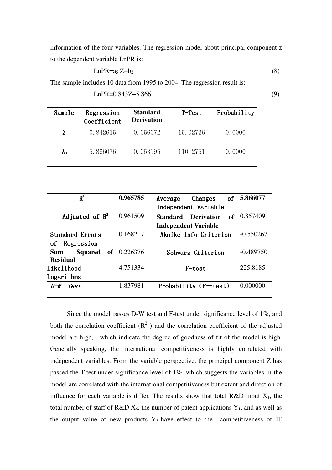information of the four variables. The regression model about principal component z to the dependent variable LnPR is:

$$
LnPR = a_5 Z + b_2
$$
 (8)

The sample includes 10 data from 1995 to 2004. The regression result is:

| Sample  | Regression<br>Coefficient | <b>Standard</b><br><b>Derivation</b> | $T-Test$  | Probability |
|---------|---------------------------|--------------------------------------|-----------|-------------|
| Z       | 0.842615                  | 0.056072                             | 15.02726  | 0.0000      |
| $b_{2}$ | 5.866076                  | 0.053195                             | 110, 2751 | 0.0000      |

| $LnPR = 0.843Z + 5.866$ | (9) |
|-------------------------|-----|
|                         |     |

| $R^2$                        | 0.965785                    | Changes<br>of<br>Average                   | 5.866077    |  |  |
|------------------------------|-----------------------------|--------------------------------------------|-------------|--|--|
|                              |                             | Independent Variable                       |             |  |  |
| Adjusted of $\mathbb{R}^2$   | 0.961509                    | of<br><b>Standard</b><br><b>Derivation</b> | 0.857409    |  |  |
|                              | <b>Independent Variable</b> |                                            |             |  |  |
| <b>Standard Errors</b>       | 0.168217                    | Akaike Info Criterion                      | $-0.550267$ |  |  |
| Regression<br>οf             |                             |                                            |             |  |  |
| <b>Squared</b><br><b>Sum</b> | of $0.226376$               | Schwarz Criterion                          | $-0.489750$ |  |  |
| <b>Residual</b>              |                             |                                            |             |  |  |
| Likelihood                   | 4.751334                    | F-test                                     | 225.8185    |  |  |
| Logarithms                   |                             |                                            |             |  |  |
| Test<br>$D-W$                | 1.837981                    | Probability (F-test)                       | 0.000000    |  |  |
|                              |                             |                                            |             |  |  |

Since the model passes D-W test and F-test under significance level of 1%, and both the correlation coefficient  $(R^2)$  and the correlation coefficient of the adjusted model are high, which indicate the degree of goodness of fit of the model is high. Generally speaking, the international competitiveness is highly correlated with independent variables. From the variable perspective, the principal component Z has passed the T-test under significance level of 1%, which suggests the variables in the model are correlated with the international competitiveness but extent and direction of influence for each variable is differ. The results show that total R&D input  $X_1$ , the total number of staff of R&D  $X_6$ , the number of patent applications  $Y_1$ , and as well as the output value of new products  $Y_3$  have effect to the competitiveness of IT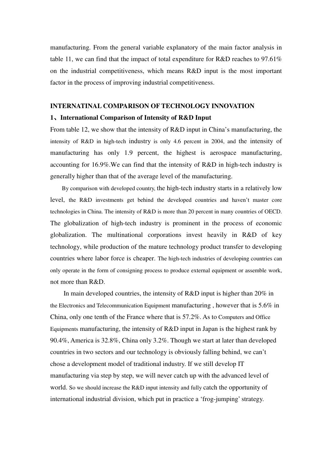manufacturing. From the general variable explanatory of the main factor analysis in table 11, we can find that the impact of total expenditure for R&D reaches to 97.61% on the industrial competitiveness, which means R&D input is the most important factor in the process of improving industrial competitiveness.

#### **INTERNATINAL COMPARISON OF TECHNOLOGY INNOVATION**

#### **1**、**International Comparison of Intensity of R&D Input**

From table 12, we show that the intensity of R&D input in China's manufacturing, the intensity of R&D in high-tech industry is only 4.6 percent in 2004, and the intensity of manufacturing has only 1.9 percent, the highest is aerospace manufacturing, accounting for 16.9%.We can find that the intensity of R&D in high-tech industry is generally higher than that of the average level of the manufacturing.

By comparison with developed country, the high-tech industry starts in a relatively low level, the R&D investments get behind the developed countries and haven't master core technologies in China. The intensity of R&D is more than 20 percent in many countries of OECD. The globalization of high-tech industry is prominent in the process of economic globalization. The multinational corporations invest heavily in R&D of key technology, while production of the mature technology product transfer to developing countries where labor force is cheaper. The high-tech industries of developing countries can only operate in the form of consigning process to produce external equipment or assemble work, not more than R&D.

In main developed countries, the intensity of R&D input is higher than 20% in the Electronics and Telecommunication Equipment manufacturing, however that is  $5.6\%$  in China, only one tenth of the France where that is 57.2%. As to Computers and Office Equipments manufacturing, the intensity of R&D input in Japan is the highest rank by 90.4%, America is 32.8%, China only 3.2%. Though we start at later than developed countries in two sectors and our technology is obviously falling behind, we can't chose a development model of traditional industry. If we still develop IT manufacturing via step by step, we will never catch up with the advanced level of world. So we should increase the R&D input intensity and fully catch the opportunity of international industrial division, which put in practice a 'frog-jumping' strategy.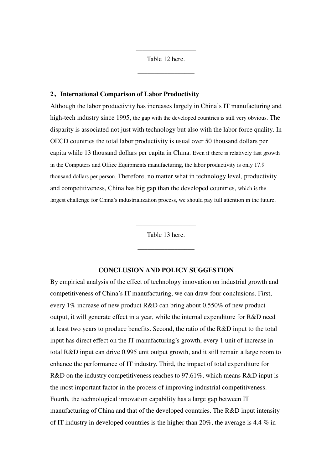Table 12 here.

\_\_\_\_\_\_\_\_\_\_\_\_\_\_\_\_\_

\_\_\_\_\_\_\_\_\_\_\_\_\_\_\_\_\_\_

#### **2**、**International Comparison of Labor Productivity**

Although the labor productivity has increases largely in China's IT manufacturing and high-tech industry since 1995, the gap with the developed countries is still very obvious. The disparity is associated not just with technology but also with the labor force quality. In OECD countries the total labor productivity is usual over 50 thousand dollars per capita while 13 thousand dollars per capita in China. Even if there is relatively fast growth in the Computers and Office Equipments manufacturing, the labor productivity is only 17.9 thousand dollars per person. Therefore, no matter what in technology level, productivity and competitiveness, China has big gap than the developed countries, which is the largest challenge for China's industrialization process, we should pay full attention in the future.

Table 13 here.

\_\_\_\_\_\_\_\_\_\_\_\_\_\_\_\_\_

\_\_\_\_\_\_\_\_\_\_\_\_\_\_\_\_\_\_

#### **CONCLUSION AND POLICY SUGGESTION**

By empirical analysis of the effect of technology innovation on industrial growth and competitiveness of China's IT manufacturing, we can draw four conclusions. First, every 1% increase of new product R&D can bring about 0.550% of new product output, it will generate effect in a year, while the internal expenditure for R&D need at least two years to produce benefits. Second, the ratio of the R&D input to the total input has direct effect on the IT manufacturing's growth, every 1 unit of increase in total R&D input can drive 0.995 unit output growth, and it still remain a large room to enhance the performance of IT industry. Third, the impact of total expenditure for R&D on the industry competitiveness reaches to 97.61%, which means R&D input is the most important factor in the process of improving industrial competitiveness. Fourth, the technological innovation capability has a large gap between IT manufacturing of China and that of the developed countries. The R&D input intensity of IT industry in developed countries is the higher than 20%, the average is 4.4 % in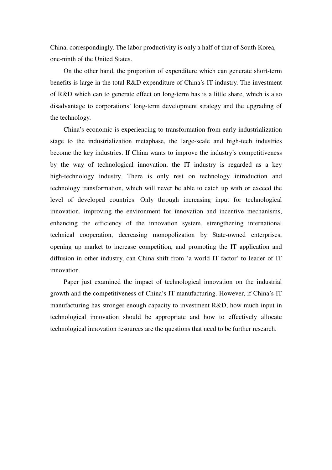China, correspondingly. The labor productivity is only a half of that of South Korea, one-ninth of the United States.

On the other hand, the proportion of expenditure which can generate short-term benefits is large in the total R&D expenditure of China's IT industry. The investment of R&D which can to generate effect on long-term has is a little share, which is also disadvantage to corporations' long-term development strategy and the upgrading of the technology.

China's economic is experiencing to transformation from early industrialization stage to the industrialization metaphase, the large-scale and high-tech industries become the key industries. If China wants to improve the industry's competitiveness by the way of technological innovation, the IT industry is regarded as a key high-technology industry. There is only rest on technology introduction and technology transformation, which will never be able to catch up with or exceed the level of developed countries. Only through increasing input for technological innovation, improving the environment for innovation and incentive mechanisms, enhancing the efficiency of the innovation system, strengthening international technical cooperation, decreasing monopolization by State-owned enterprises, opening up market to increase competition, and promoting the IT application and diffusion in other industry, can China shift from 'a world IT factor' to leader of IT innovation.

Paper just examined the impact of technological innovation on the industrial growth and the competitiveness of China's IT manufacturing. However, if China's IT manufacturing has stronger enough capacity to investment R&D, how much input in technological innovation should be appropriate and how to effectively allocate technological innovation resources are the questions that need to be further research.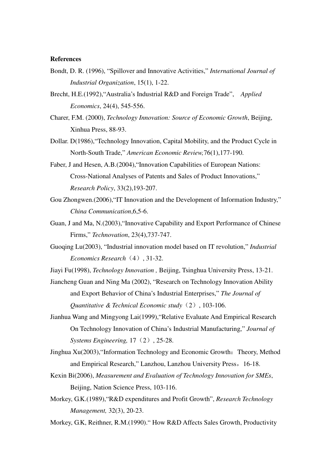#### **References**

- Bondt, D. R. (1996), "Spillover and Innovative Activities," *International Journal of Industrial Organization*, 15(1), 1-22.
- Brecht, H.E.(1992),"Australia's Industrial R&D and Foreign Trade", *Applied Economics*, 24(4), 545-556.
- Charer, F.M. (2000), *Technology Innovation: Source of Economic Growth*, Beijing, Xinhua Press, 88-93.
- Dollar. D(1986),"Technology Innovation, Capital Mobility, and the Product Cycle in North-South Trade," *American Economic Review,*76(1),177-190.
- Faber, J and Hesen, A.B.(2004),"Innovation Capabilities of European Nations: Cross-National Analyses of Patents and Sales of Product Innovations," *Research Policy*, 33(2),193-207.
- Gou Zhongwen.(2006),"IT Innovation and the Development of Information Industry," *China Communication*,6,5-6.
- Guan, J and Ma, N.(2003),"Innovative Capability and Export Performance of Chinese Firms," *Technovation*, 23(4),737-747.
- Guoqing Lu(2003), "Industrial innovation model based on IT revolution," *Industrial Economics Research*(4), 31-32.
- Jiayi Fu(1998), *Technology Innovation ,* Beijing, Tsinghua University Press, 13-21.
- Jiancheng Guan and Ning Ma (2002), "Research on Technology Innovation Ability and Export Behavior of China's Industrial Enterprises," *The Journal of Quantitative & Technical Economic study*(2), 103-106.
- Jianhua Wang and Mingyong Lai(1999),"Relative Evaluate And Empirical Research On Technology Innovation of China's Industrial Manufacturing," *Journal of Systems Engineering,* 17(2), 25-28.
- Jinghua Xu(2003),"Information Technology and Economic Growth:Theory, Method and Empirical Research," Lanzhou, Lanzhou University Press,16-18.
- Kexin Bi(2006), *Measurement and Evaluation of Technology Innovation for SMEs*, Beijing, Nation Science Press, 103-116.
- Morkey, G.K.(1989),"R&D expenditures and Profit Growth", *Research Technology Management,* 32(3), 20-23.
- Morkey, G.K, Reithner, R.M.(1990)." How R&D Affects Sales Growth, Productivity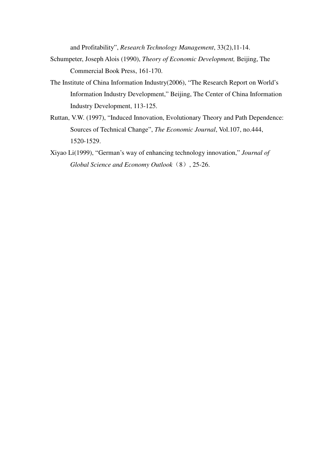and Profitability", *Research Technology Management*, 33(2),11-14.

- Schumpeter, Joseph Alois (1990), *Theory of Economic Development,* Beijing, The Commercial Book Press, 161-170.
- The Institute of China Information Industry(2006), "The Research Report on World's Information Industry Development," Beijing, The Center of China Information Industry Development, 113-125.
- Ruttan, V.W. (1997), "Induced Innovation, Evolutionary Theory and Path Dependence: Sources of Technical Change", *The Economic Journal*, Vol.107, no.444, 1520-1529.
- Xiyao Li(1999), "German's way of enhancing technology innovation," *Journal of Global Science and Economy Outlook*(8), 25-26.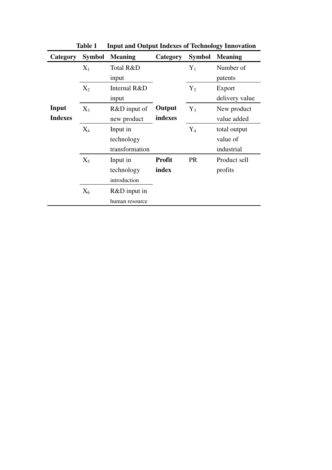| <b>Category</b> | <b>Symbol</b> | <b>Meaning</b> | <b>Category</b> | <b>Symbol</b> | <b>Meaning</b> |
|-----------------|---------------|----------------|-----------------|---------------|----------------|
|                 | $X_1$         | Total R&D      |                 | $Y_1$         | Number of      |
|                 |               | input          |                 |               | patents        |
|                 | $X_2$         | Internal R&D   |                 | $Y_2$         | Export         |
|                 |               | input          |                 |               | delivery value |
| Input           | $X_3$         | R&D input of   | Output          | $Y_3$         | New product    |
| <b>Indexes</b>  |               | new product    | indexes         |               | value added    |
|                 | $X_4$         | Input in       |                 | $Y_4$         | total output   |
|                 |               | technology     |                 |               | value of       |
|                 |               | transformation |                 |               | industrial     |
|                 | $X_5$         | Input in       | <b>Profit</b>   | <b>PR</b>     | Product sell   |
|                 |               | technology     | index           |               | profits        |
|                 |               | introduction   |                 |               |                |
|                 | $X_6$         | $R&D$ input in |                 |               |                |
|                 |               | human resource |                 |               |                |

**Table 1 Input and Output Indexes of Technology Innovation**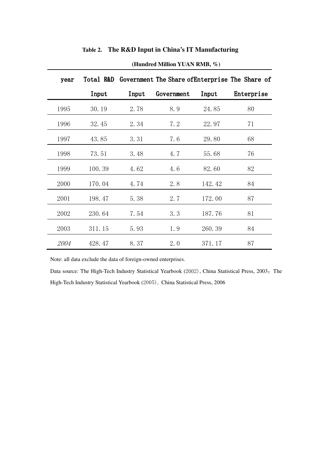| year        |        |       |            |        | Total R&D Government The Share of Enterprise The Share of |
|-------------|--------|-------|------------|--------|-----------------------------------------------------------|
|             | Input  | Input | Government | Input  | Enterprise                                                |
| 1995        | 30.19  | 2.78  | 8.9        | 24.85  | 80                                                        |
| 1996        | 32.45  | 2.34  | 7.2        | 22.97  | 71                                                        |
| 1997        | 43.85  | 3.31  | 7.6        | 29.80  | 68                                                        |
| 1998        | 73.51  | 3.48  | 4.7        | 55.68  | 76                                                        |
| 1999        | 100.39 | 4.62  | 4.6        | 82.60  | 82                                                        |
| 2000        | 170.04 | 4.74  | 2.8        | 142.42 | 84                                                        |
| 2001        | 198.47 | 5.38  | 2.7        | 172.00 | 87                                                        |
| 2002        | 230.64 | 7.54  | 3.3        | 187.76 | 81                                                        |
| 2003        | 311.15 | 5.93  | 1.9        | 260.39 | 84                                                        |
| <i>2004</i> | 428.47 | 8.37  | 2.0        | 371.17 | 87                                                        |

**Table 2. The R&D Input in China's IT Manufacturing** 

#### **(Hundred Million YUAN RMB, %)**

Note: all data exclude the data of foreign-owned enterprises.

Data source: The High-Tech Industry Statistical Yearbook (2002), China Statistical Press, 2003; The High-Tech Industry Statistical Yearbook (2005), China Statistical Press, 2006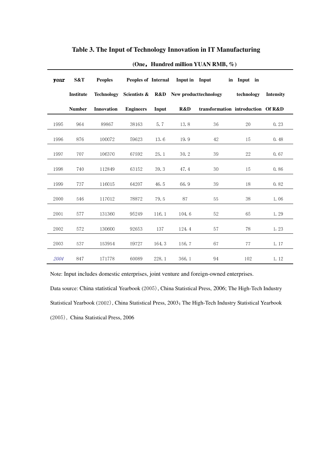| year | S&T              | <b>Peoples</b> |                  |       | Peoples of Internal Input in Input |                                                               | in Input in |                  |
|------|------------------|----------------|------------------|-------|------------------------------------|---------------------------------------------------------------|-------------|------------------|
|      | <b>Institute</b> |                |                  |       |                                    | Technology Scientists & R&D New product technology technology |             | <b>Intensity</b> |
|      | <b>Number</b>    | Innovation     | <b>Engineers</b> | Input | R&D                                | transformation introduction Of R&D                            |             |                  |
| 1995 | 964              | 89867          | 38163            | 5.7   | 13.8                               | 36                                                            | 20          | 0.23             |
| 1996 | 876              | 100072         | 59623            | 13.6  | 19.9                               | 42                                                            | 15          | 0.48             |
| 1997 | 707              | 106370         | 67592            | 25.1  | 30.2                               | 39                                                            | 22          | 0.67             |
| 1998 | 740              | 112849         | 63152            | 39.3  | 47.4                               | 30                                                            | 15          | 0.86             |
| 1999 | 737              | 116015         | 64207            | 46.5  | 66.9                               | 39                                                            | 18          | 0.82             |
| 2000 | 546              | 117012         | 78872            | 79.5  | 87                                 | 55                                                            | 38          | 1.06             |
| 2001 | 577              | 131360         | 95249            | 116.1 | 104.6                              | 52                                                            | 65          | 1.29             |
| 2002 | 572              | 130600         | 92653            | 137   | 124.4                              | 57                                                            | 78          | 1.23             |
| 2003 | 537              | 153954         | 59727            | 164.3 | 156.7                              | 67                                                            | 77          | 1.17             |
| 2004 | 847              | 171778         | 60089            | 228.1 | 366.1                              | 94                                                            | 102         | 1.12             |

### **Table 3. The Input of Technology Innovation in IT Manufacturing**

 **(One**,**Hundred million YUAN RMB, %)** 

Note: Input includes domestic enterprises, joint venture and foreign-owned enterprises.

Data source: China statistical Yearbook (2005), China Statistical Press, 2006; The High-Tech Industry Statistical Yearbook (2002), China Statistical Press, 2003; The High-Tech Industry Statistical Yearbook (2005), China Statistical Press, 2006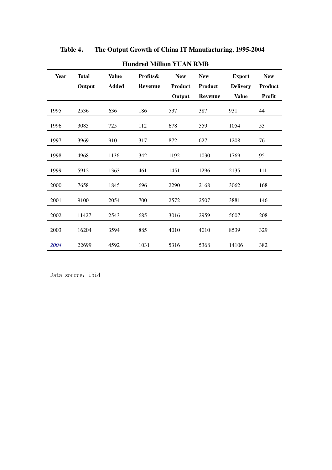| <b>Year</b> | <b>Total</b><br>Output | <b>Value</b><br><b>Added</b> | Profits&<br><b>Revenue</b> | <b>New</b><br><b>Product</b><br>Output | <b>New</b><br><b>Product</b><br><b>Revenue</b> | <b>Export</b><br><b>Delivery</b><br><b>Value</b> | <b>New</b><br>Product<br><b>Profit</b> |  |  |
|-------------|------------------------|------------------------------|----------------------------|----------------------------------------|------------------------------------------------|--------------------------------------------------|----------------------------------------|--|--|
| 1995        | 2536                   | 636                          | 186                        | 537                                    | 387                                            | 931                                              | 44                                     |  |  |
| 1996        | 3085                   | 725                          | 112                        | 678                                    | 559                                            | 1054                                             | 53                                     |  |  |
| 1997        | 3969                   | 910                          | 317                        | 872                                    | 627                                            | 1208                                             | 76                                     |  |  |
| 1998        | 4968                   | 1136                         | 342                        | 1192                                   | 1030                                           | 1769                                             | 95                                     |  |  |
| 1999        | 5912                   | 1363                         | 461                        | 1451                                   | 1296                                           | 2135                                             | 111                                    |  |  |
| 2000        | 7658                   | 1845                         | 696                        | 2290                                   | 2168                                           | 3062                                             | 168                                    |  |  |
| 2001        | 9100                   | 2054                         | 700                        | 2572                                   | 2507                                           | 3881                                             | 146                                    |  |  |
| 2002        | 11427                  | 2543                         | 685                        | 3016                                   | 2959                                           | 5607                                             | 208                                    |  |  |
| 2003        | 16204                  | 3594                         | 885                        | 4010                                   | 4010                                           | 8539                                             | 329                                    |  |  |
| 2004        | 22699                  | 4592                         | 1031                       | 5316                                   | 5368                                           | 14106                                            | 382                                    |  |  |

**Table 4**. **The Output Growth of China IT Manufacturing, 1995-2004** 

**Hundred Million YUAN RMB** 

Data source: ibid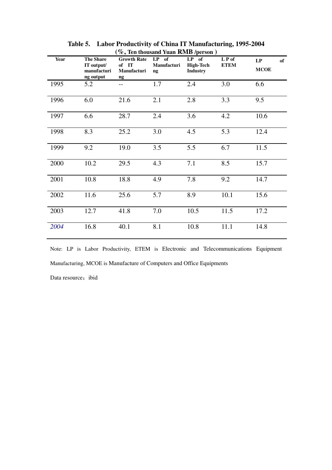| Year | <b>The Share</b><br>IT output/<br>manufacturi<br>ng output | <b>Growth Rate</b><br>of IT<br>Manufacturi<br>ng | $LP$ of<br>Manufacturi<br>ng | LP of<br><b>High-Tech</b><br><b>Industry</b> | LP of<br><b>ETEM</b> | LP<br>of<br><b>MCOE</b> |
|------|------------------------------------------------------------|--------------------------------------------------|------------------------------|----------------------------------------------|----------------------|-------------------------|
| 1995 | 5.2                                                        | $-$                                              | 1.7                          | 2.4                                          | 3.0                  | 6.6                     |
| 1996 | 6.0                                                        | 21.6                                             | 2.1                          | 2.8                                          | 3.3                  | 9.5                     |
| 1997 | 6.6                                                        | 28.7                                             | 2.4                          | 3.6                                          | 4.2                  | 10.6                    |
| 1998 | 8.3                                                        | 25.2                                             | 3.0                          | 4.5                                          | 5.3                  | 12.4                    |
| 1999 | 9.2                                                        | 19.0                                             | 3.5                          | 5.5                                          | 6.7                  | 11.5                    |
| 2000 | 10.2                                                       | 29.5                                             | 4.3                          | 7.1                                          | 8.5                  | 15.7                    |
| 2001 | 10.8                                                       | 18.8                                             | 4.9                          | 7.8                                          | 9.2                  | 14.7                    |
| 2002 | 11.6                                                       | 25.6                                             | 5.7                          | 8.9                                          | 10.1                 | 15.6                    |
| 2003 | 12.7                                                       | 41.8                                             | 7.0                          | 10.5                                         | 11.5                 | 17.2                    |
| 2004 | 16.8                                                       | 40.1                                             | 8.1                          | 10.8                                         | 11.1                 | 14.8                    |

**Table 5. Labor Productivity of China IT Manufacturing, 1995-2004 (%, Ten thousand Yuan RMB /person )** 

Note: LP is Labor Productivity, ETEM is Electronic and Telecommunications Equipment Manufacturing, MCOE is Manufacture of Computers and Office Equipments

Data resource: ibid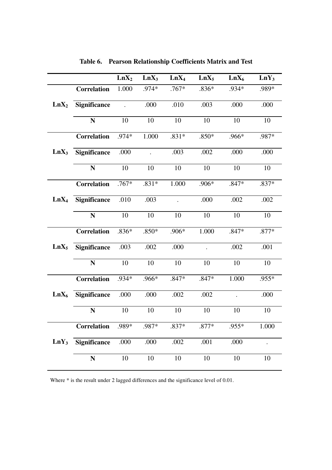|                  |                     | LnX <sub>2</sub> | $LnX_3$   | LnX <sub>4</sub>     | $LnX_5$ | $LnX_6$ | $LnY_3$ |
|------------------|---------------------|------------------|-----------|----------------------|---------|---------|---------|
|                  | <b>Correlation</b>  | 1.000            | .974*     | $.767*$              | $.836*$ | .934*   | .989*   |
| LnX <sub>2</sub> | Significance        |                  | .000      | .010                 | .003    | .000    | .000    |
|                  | N                   | 10               | 10        | 10                   | 10      | 10      | 10      |
|                  | <b>Correlation</b>  | .974*            | 1.000     | $.831*$              | $.850*$ | .966*   | .987*   |
| $LnX_3$          | <b>Significance</b> | .000             | $\bullet$ | .003                 | .002    | .000    | .000    |
|                  | N                   | 10               | 10        | 10                   | 10      | 10      | 10      |
|                  | <b>Correlation</b>  | $.767*$          | $.831*$   | 1.000                | $.906*$ | $.847*$ | .837*   |
| $LnX_4$          | <b>Significance</b> | .010             | .003      | $\ddot{\phantom{a}}$ | .000    | .002    | .002    |
|                  | N                   | 10               | 10        | 10                   | 10      | 10      | 10      |
|                  | <b>Correlation</b>  | $.836*$          | $.850*$   | $.906*$              | 1.000   | $.847*$ | .877*   |
| $LnX_5$          | <b>Significance</b> | .003             | .002      | .000                 |         | .002    | .001    |
|                  | N                   | 10               | 10        | 10                   | 10      | 10      | 10      |
|                  | <b>Correlation</b>  | .934*            | .966*     | $.847*$              | .847*   | 1.000   | .955*   |
| $LnX_6$          | <b>Significance</b> | .000             | .000      | .002                 | .002    |         | .000    |
|                  | N                   | 10               | 10        | 10                   | 10      | 10      | 10      |
|                  | Correlation         | .989*            | .987*     | $.837*$              | $.877*$ | .955*   | 1.000   |
| $LnY_3$          | <b>Significance</b> | .000             | .000      | .002                 | .001    | .000    |         |
|                  | N                   | 10               | 10        | 10                   | 10      | 10      | 10      |

**Table 6. Pearson Relationship Coefficients Matrix and Test** 

Where \* is the result under 2 lagged differences and the significance level of 0.01.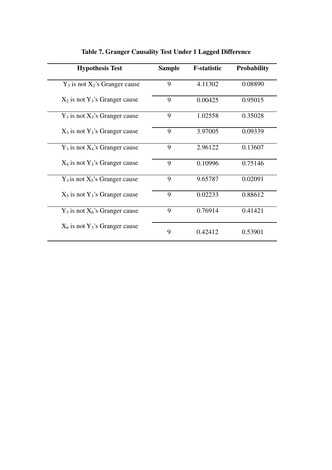| <b>Hypothesis Test</b>              | <b>Sample</b> | <b>F-statistic</b> | <b>Probability</b> |
|-------------------------------------|---------------|--------------------|--------------------|
| $Y_3$ is not $X_2$ 's Granger cause | 9             | 4.11302            | 0.08890            |
| $X_2$ is not $Y_3$ 's Granger cause | 9             | 0.00425            | 0.95015            |
| $Y_3$ is not $X_3$ 's Granger cause | 9             | 1.02558            | 0.35028            |
| $X_3$ is not $Y_3$ 's Granger cause | 9             | 3.97005            | 0.09339            |
| $Y_3$ is not $X_4$ 's Granger cause | 9             | 2.96122            | 0.13607            |
| $X_4$ is not $Y_3$ 's Granger cause | 9             | 0.10996            | 0.75146            |
| $Y_3$ is not $X_5$ 's Granger cause | 9             | 9.65787            | 0.02091            |
| $X_5$ is not $Y_3$ 's Granger cause | 9             | 0.02233            | 0.88612            |
| $Y_3$ is not $X_6$ 's Granger cause | 9             | 0.76914            | 0.41421            |
| $X_6$ is not $Y_3$ 's Granger cause | 9             | 0.42412            | 0.53901            |

**Table 7. Granger Causality Test Under 1 Lagged Difference**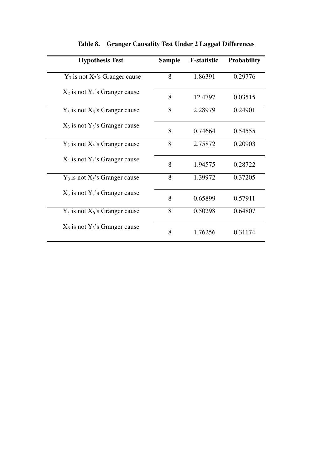| <b>Hypothesis Test</b>              | <b>Sample</b> | <b>F-statistic</b> | <b>Probability</b> |
|-------------------------------------|---------------|--------------------|--------------------|
| $Y_3$ is not $X_2$ 's Granger cause | 8             | 1.86391            | 0.29776            |
| $X_2$ is not $Y_3$ 's Granger cause | 8             | 12.4797            | 0.03515            |
| $Y_3$ is not $X_3$ 's Granger cause | 8             | 2.28979            | 0.24901            |
| $X_3$ is not $Y_3$ 's Granger cause | 8             | 0.74664            | 0.54555            |
| $Y_3$ is not $X_4$ 's Granger cause | 8             | 2.75872            | 0.20903            |
| $X_4$ is not $Y_3$ 's Granger cause | 8             | 1.94575            | 0.28722            |
| $Y_3$ is not $X_5$ 's Granger cause | 8             | 1.39972            | 0.37205            |
| $X_5$ is not $Y_3$ 's Granger cause | 8             | 0.65899            | 0.57911            |
| $Y_3$ is not $X_6$ 's Granger cause | 8             | 0.50298            | 0.64807            |
| $X_6$ is not $Y_3$ 's Granger cause | 8             | 1.76256            | 0.31174            |

**Table 8. Granger Causality Test Under 2 Lagged Differences**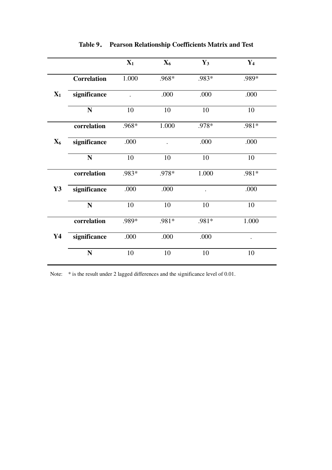|                |                    | $X_1$                | $X_6$ | $Y_3$ | $Y_4$     |
|----------------|--------------------|----------------------|-------|-------|-----------|
|                | <b>Correlation</b> | 1.000                | .968* | .983* | .989*     |
| $\mathbf{X}_1$ | significance       | $\ddot{\phantom{0}}$ | .000  | .000  | .000      |
|                | ${\bf N}$          | 10                   | 10    | 10    | 10        |
|                | correlation        | .968*                | 1.000 | .978* | $.981*$   |
| $\mathbf{X}_6$ | significance       | .000                 |       | .000  | .000      |
|                | ${\bf N}$          | 10                   | 10    | 10    | 10        |
|                | correlation        | .983*                | .978* | 1.000 | .981*     |
| $\mathbf{Y3}$  | significance       | .000                 | .000  |       | .000      |
|                | ${\bf N}$          | 10                   | 10    | 10    | 10        |
|                | correlation        | .989*                | .981* | .981* | 1.000     |
| $\mathbf{Y}$ 4 | significance       | .000                 | .000  | .000  | $\bullet$ |
|                | N                  | 10                   | 10    | 10    | 10        |

**Table 9**. **Pearson Relationship Coefficients Matrix and Test** 

Note: \* is the result under 2 lagged differences and the significance level of 0.01.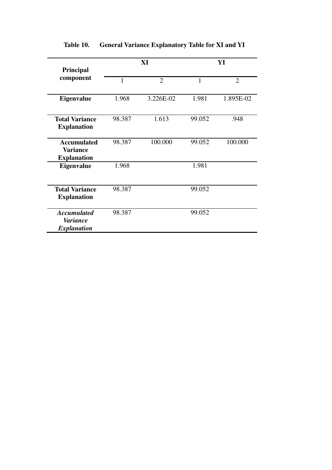| Principal                                                   |        | XI             | YI     |                |  |
|-------------------------------------------------------------|--------|----------------|--------|----------------|--|
| component                                                   | 1      | $\overline{2}$ | 1      | $\overline{2}$ |  |
| <b>Eigenvalue</b>                                           | 1.968  | 3.226E-02      | 1.981  | 1.895E-02      |  |
| <b>Total Variance</b><br><b>Explanation</b>                 | 98.387 | 1.613          | 99.052 | .948           |  |
| <b>Accumulated</b><br><b>Variance</b><br><b>Explanation</b> | 98.387 | 100.000        | 99.052 | 100.000        |  |
| Eigenvalue                                                  | 1.968  |                | 1.981  |                |  |
| <b>Total Variance</b><br><b>Explanation</b>                 | 98.387 |                | 99.052 |                |  |
| <b>Accumulated</b><br><b>Variance</b><br><b>Explanation</b> | 98.387 |                | 99.052 |                |  |

# **Table 10. General Variance Explanatory Table for XI and YI**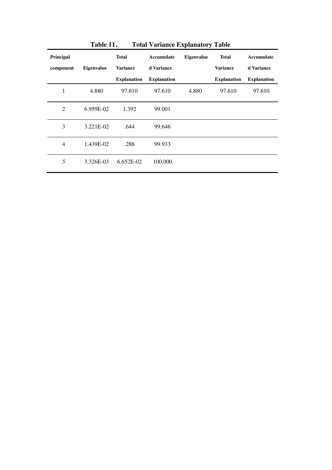| TANIC TT.<br>Total Variance Explanatory Table |                   |                    |                    |            |                    |                    |  |  |  |
|-----------------------------------------------|-------------------|--------------------|--------------------|------------|--------------------|--------------------|--|--|--|
| <b>Principal</b>                              |                   | <b>Total</b>       | Accumulate         | Eigenvalue | <b>Total</b>       | Accumulate         |  |  |  |
| component                                     | <b>Eigenvalue</b> | <b>Variance</b>    | d Variance         |            | <b>Variance</b>    | d Variance         |  |  |  |
|                                               |                   | <b>Explanation</b> | <b>Explanation</b> |            | <b>Explanation</b> | <b>Explanation</b> |  |  |  |
| 1                                             | 4.880             | 97.610             | 97.610             | 4.880      | 97.610             | 97.610             |  |  |  |
| 2                                             | 6.959E-02         | 1.392              | 99.001             |            |                    |                    |  |  |  |
| 3                                             | 3.221E-02         | .644               | 99.646             |            |                    |                    |  |  |  |
| $\overline{4}$                                | 1.439E-02         | .288               | 99.933             |            |                    |                    |  |  |  |
| 5                                             | 3.326E-03         | 6.652E-02          | 100.000            |            |                    |                    |  |  |  |

**Table 11**. **Total Variance Explanatory Table**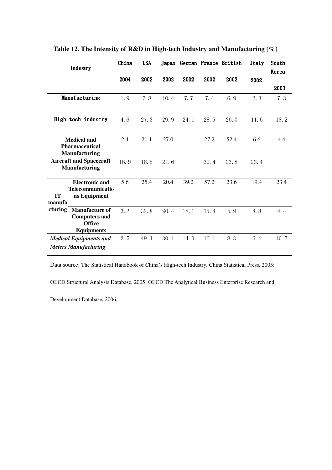| <b>Industry</b>                               | China | <b>USA</b> | Japan |      |      | German France British | Italy | South |
|-----------------------------------------------|-------|------------|-------|------|------|-----------------------|-------|-------|
|                                               |       |            |       |      |      |                       |       | Korea |
|                                               | 2004  | 2002       | 2002  | 2002 | 2002 | 2002                  | 2002  |       |
|                                               |       |            |       |      |      |                       |       | 2003  |
| Manufacturing                                 | 1.9   | 7.8        | 10.4  | 7.7  | 7.4  | 6.9                   | 2.3   | 7.3   |
|                                               |       |            |       |      |      |                       |       |       |
| High-tech industry                            | 4.6   | 27.3       | 29.9  | 24.1 | 28.6 | 26.0                  | 11.6  | 18.2  |
|                                               |       |            |       |      |      |                       |       |       |
| <b>Medical and</b>                            | 2.4   | 21.1       | 27.0  |      | 27.2 | 52.4                  | 6.6   | 4.4   |
| <b>Pharmaceutical</b><br><b>Manufacturing</b> |       |            |       |      |      |                       |       |       |
| <b>Aircraft and Spacecraft</b>                | 16.9  | 18.5       | 21.6  |      | 29.4 | 23.8                  | 23.4  |       |
| <b>Manufacturing</b>                          |       |            |       |      |      |                       |       |       |
|                                               |       |            |       |      |      |                       |       |       |
| <b>Electronic and</b>                         | 5.6   | 25.4       | 20.4  | 39.2 | 57.2 | 23.6                  | 19.4  | 23.4  |
| Telecommunicatio<br>ns Equipment<br><b>IT</b> |       |            |       |      |      |                       |       |       |
| manufa                                        |       |            |       |      |      |                       |       |       |
| cturing<br>Manufacture of                     | 3.2   | 32.8       | 90.4  | 18.1 | 15.8 | 5.9                   | 8.8   | 4.4   |
| <b>Computers and</b><br><b>Office</b>         |       |            |       |      |      |                       |       |       |
| <b>Equipments</b>                             |       |            |       |      |      |                       |       |       |
| <b>Medical Equipments and</b>                 | 2.5   | 49.1       | 30.1  | 14.0 | 16.1 | 8.3                   | 6.4   | 10.7  |
| <b>Meters Manufacturing</b>                   |       |            |       |      |      |                       |       |       |

**Table 12. The Intensity of R&D in High-tech Industry and Manufacturing (%)**

Data source: The Statistical Handbook of China's High-tech Industry, China Statistical Press, 2005;

OECD Structural Analysis Database, 2005; OECD The Analytical Business Enterprise Research and

Development Database, 2006.